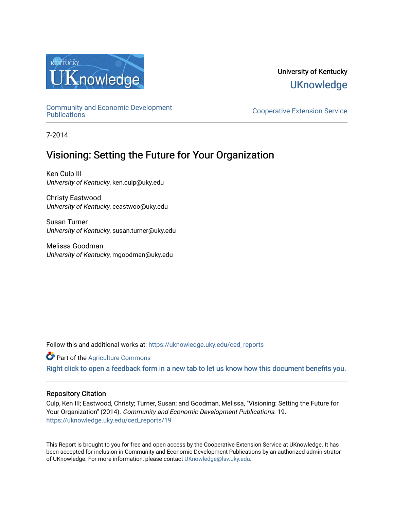

### University of Kentucky **UKnowledge**

[Community and Economic Development](https://uknowledge.uky.edu/ced_reports) 

**Cooperative Extension Service** 

7-2014

### Visioning: Setting the Future for Your Organization

Ken Culp III University of Kentucky, ken.culp@uky.edu

Christy Eastwood University of Kentucky, ceastwoo@uky.edu

Susan Turner University of Kentucky, susan.turner@uky.edu

Melissa Goodman University of Kentucky, mgoodman@uky.edu

Follow this and additional works at: [https://uknowledge.uky.edu/ced\\_reports](https://uknowledge.uky.edu/ced_reports?utm_source=uknowledge.uky.edu%2Fced_reports%2F19&utm_medium=PDF&utm_campaign=PDFCoverPages)

**C** Part of the [Agriculture Commons](http://network.bepress.com/hgg/discipline/1076?utm_source=uknowledge.uky.edu%2Fced_reports%2F19&utm_medium=PDF&utm_campaign=PDFCoverPages)

[Right click to open a feedback form in a new tab to let us know how this document benefits you.](https://uky.az1.qualtrics.com/jfe/form/SV_9mq8fx2GnONRfz7)

#### Repository Citation

Culp, Ken III; Eastwood, Christy; Turner, Susan; and Goodman, Melissa, "Visioning: Setting the Future for Your Organization" (2014). Community and Economic Development Publications. 19. [https://uknowledge.uky.edu/ced\\_reports/19](https://uknowledge.uky.edu/ced_reports/19?utm_source=uknowledge.uky.edu%2Fced_reports%2F19&utm_medium=PDF&utm_campaign=PDFCoverPages) 

This Report is brought to you for free and open access by the Cooperative Extension Service at UKnowledge. It has been accepted for inclusion in Community and Economic Development Publications by an authorized administrator of UKnowledge. For more information, please contact [UKnowledge@lsv.uky.edu.](mailto:UKnowledge@lsv.uky.edu)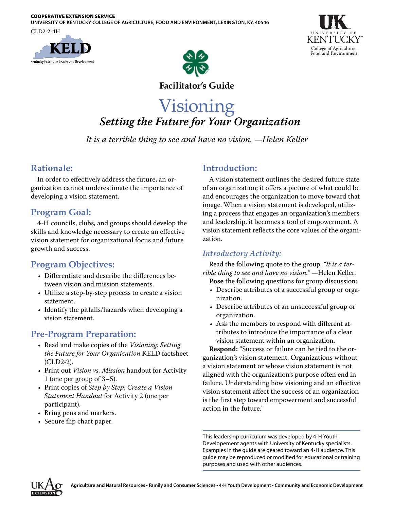#### COOPERATIVE EXTENSION SERVICE

**UNIVERSITY OF KENTUCKY COLLEGE OF AGRICULTURE, FOOD AND ENVIRONMENT, LEXINGTON, KY, 40546**

CLD2-2-4H







#### **Facilitator's Guide**

### Visioning *Setting the Future for Your Organization*

*It is a terrible thing to see and have no vision. —Helen Keller*

#### **Rationale:**

In order to effectively address the future, an organization cannot underestimate the importance of developing a vision statement.

#### **Program Goal:**

4-H councils, clubs, and groups should develop the skills and knowledge necessary to create an effective vision statement for organizational focus and future growth and success.

#### **Program Objectives:**

- Differentiate and describe the differences between vision and mission statements.
- Utilize a step-by-step process to create a vision statement.
- Identify the pitfalls/hazards when developing a vision statement.

#### **Pre-Program Preparation:**

- Read and make copies of the *Visioning: Setting the Future for Your Organization* KELD factsheet (CLD2-2).
- Print out *Vision vs. Mission* handout for Activity 1 (one per group of 3–5).
- Print copies of *Step by Step: Create a Vision Statement Handout* for Activity 2 (one per participant).
- Bring pens and markers.
- Secure flip chart paper.

#### **Introduction:**

A vision statement outlines the desired future state of an organization; it offers a picture of what could be and encourages the organization to move toward that image. When a vision statement is developed, utilizing a process that engages an organization's members and leadership, it becomes a tool of empowerment. A vision statement reflects the core values of the organization.

#### *Introductory Activity:*

Read the following quote to the group: *"It is a terrible thing to see and have no vision."* —Helen Keller.

- **Pose** the following questions for group discussion: • Describe attributes of a successful group or orga-
- nization. • Describe attributes of an unsuccessful group or
- organization. • Ask the members to respond with different attributes to introduce the importance of a clear vision statement within an organization.

**Respond:** "Success or failure can be tied to the organization's vision statement. Organizations without a vision statement or whose vision statement is not aligned with the organization's purpose often end in failure. Understanding how visioning and an effective vision statement affect the success of an organization is the first step toward empowerment and successful action in the future."

This leadership curriculum was developed by 4-H Youth Developement agents with University of Kentucky specialists. Examples in the guide are geared toward an 4-H audience. This guide may be reproduced or modified for educational or training purposes and used with other audiences.

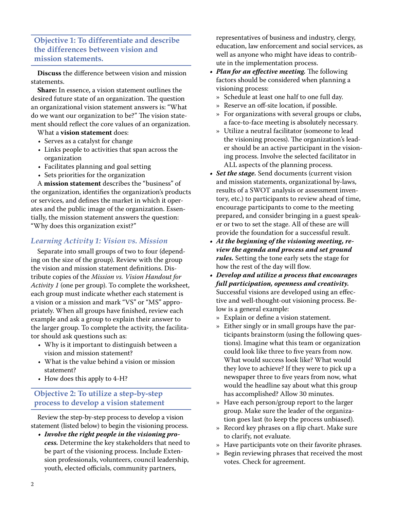#### **Objective 1: To differentiate and describe the differences between vision and mission statements.**

**Discuss** the difference between vision and mission statements.

**Share:** In essence, a vision statement outlines the desired future state of an organization. The question an organizational vision statement answers is: "What do we want our organization to be?" The vision statement should reflect the core values of an organization.

What a **vision statement** does:

- Serves as a catalyst for change
- Links people to activities that span across the organization
- Facilitates planning and goal setting
- Sets priorities for the organization

A **mission statement** describes the "business" of the organization, identifies the organization's products or services, and defines the market in which it operates and the public image of the organization. Essentially, the mission statement answers the question: "Why does this organization exist?"

#### *Learning Activity 1: Vision vs. Mission*

Separate into small groups of two to four (depending on the size of the group). Review with the group the vision and mission statement definitions. Distribute copies of the *Mission vs. Vision Handout for Activity 1* (one per group). To complete the worksheet, each group must indicate whether each statement is a vision or a mission and mark "VS" or "MS" appropriately. When all groups have finished, review each example and ask a group to explain their answer to the larger group. To complete the activity, the facilitator should ask questions such as:

- Why is it important to distinguish between a vision and mission statement?
- What is the value behind a vision or mission statement?
- How does this apply to 4-H?

#### **Objective 2: To utilize a step-by-step process to develop a vision statement**

Review the step-by-step process to develop a vision statement (listed below) to begin the visioning process.

*• Involve the right people in the visioning process.* Determine the key stakeholders that need to be part of the visioning process. Include Extension professionals, volunteers, council leadership, youth, elected officials, community partners,

representatives of business and industry, clergy, education, law enforcement and social services, as well as anyone who might have ideas to contribute in the implementation process.

- *• Plan for an effective meeting.* The following factors should be considered when planning a visioning process:
	- » Schedule at least one half to one full day.
	- » Reserve an off-site location, if possible.
	- » For organizations with several groups or clubs, a face-to-face meeting is absolutely necessary.
	- » Utilize a neutral facilitator (someone to lead the visioning process). The organization's leader should be an active participant in the visioning process. Involve the selected facilitator in ALL aspects of the planning process.
- *• Set the stage.* Send documents (current vision and mission statements, organizational by-laws, results of a SWOT analysis or assessment inventory, etc.) to participants to review ahead of time, encourage participants to come to the meeting prepared, and consider bringing in a guest speaker or two to set the stage. All of these are will provide the foundation for a successful result.
- *• At the beginning of the visioning meeting, review the agenda and process and set ground rules.* Setting the tone early sets the stage for how the rest of the day will flow.
- *• Develop and utilize a process that encourages full participation, openness and creativity.* Successful visions are developed using an effective and well-thought-out visioning process. Below is a general example:
	- » Explain or define a vision statement.
	- » Either singly or in small groups have the participants brainstorm (using the following questions). Imagine what this team or organization could look like three to five years from now. What would success look like? What would they love to achieve? If they were to pick up a newspaper three to five years from now, what would the headline say about what this group has accomplished? Allow 30 minutes.
	- » Have each person/group report to the larger group. Make sure the leader of the organization goes last (to keep the process unbiased).
	- » Record key phrases on a flip chart. Make sure to clarify, not evaluate.
	- » Have participants vote on their favorite phrases.
	- » Begin reviewing phrases that received the most votes. Check for agreement.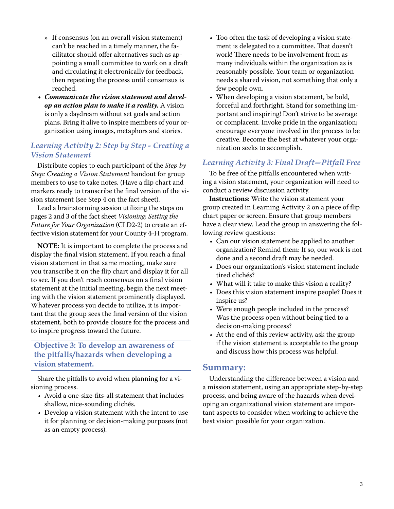- » If consensus (on an overall vision statement) can't be reached in a timely manner, the facilitator should offer alternatives such as appointing a small committee to work on a draft and circulating it electronically for feedback, then repeating the process until consensus is reached.
- *• Communicate the vision statement and develop an action plan to make it a reality.* A vision is only a daydream without set goals and action plans. Bring it alive to inspire members of your organization using images, metaphors and stories.

#### *Learning Activity 2: Step by Step - Creating a Vision Statement*

Distribute copies to each participant of the *Step by Step: Creating a Vision Statement* handout for group members to use to take notes. (Have a flip chart and markers ready to transcribe the final version of the vision statement (see Step 4 on the fact sheet).

Lead a brainstorming session utilizing the steps on pages 2 and 3 of the fact sheet *Visioning: Setting the Future for Your Organization* (CLD2-2) to create an effective vision statement for your County 4-H program.

**NOTE:** It is important to complete the process and display the final vision statement. If you reach a final vision statement in that same meeting, make sure you transcribe it on the flip chart and display it for all to see. If you don't reach consensus on a final vision statement at the initial meeting, begin the next meeting with the vision statement prominently displayed. Whatever process you decide to utilize, it is important that the group sees the final version of the vision statement, both to provide closure for the process and to inspire progress toward the future.

#### **Objective 3: To develop an awareness of the pitfalls/hazards when developing a vision statement.**

Share the pitfalls to avoid when planning for a visioning process.

- Avoid a one-size-fits-all statement that includes shallow, nice-sounding clichés.
- Develop a vision statement with the intent to use it for planning or decision-making purposes (not as an empty process).
- Too often the task of developing a vision statement is delegated to a committee. That doesn't work! There needs to be involvement from as many individuals within the organization as is reasonably possible. Your team or organization needs a shared vision, not something that only a few people own.
- When developing a vision statement, be bold, forceful and forthright. Stand for something important and inspiring! Don't strive to be average or complacent. Invoke pride in the organization; encourage everyone involved in the process to be creative. Become the best at whatever your organization seeks to accomplish.

#### *Learning Activity 3: Final Draft—Pitfall Free*

To be free of the pitfalls encountered when writing a vision statement, your organization will need to conduct a review discussion activity.

**Instructions**: Write the vision statement your group created in Learning Activity 2 on a piece of flip chart paper or screen. Ensure that group members have a clear view. Lead the group in answering the following review questions:

- Can our vision statement be applied to another organization? Remind them: If so, our work is not done and a second draft may be needed.
- Does our organization's vision statement include tired clichés?
- What will it take to make this vision a reality?
- Does this vision statement inspire people? Does it inspire us?
- Were enough people included in the process? Was the process open without being tied to a decision-making process?
- At the end of this review activity, ask the group if the vision statement is acceptable to the group and discuss how this process was helpful.

#### **Summary:**

Understanding the difference between a vision and a mission statement, using an appropriate step-by-step process, and being aware of the hazards when developing an organizational vision statement are important aspects to consider when working to achieve the best vision possible for your organization.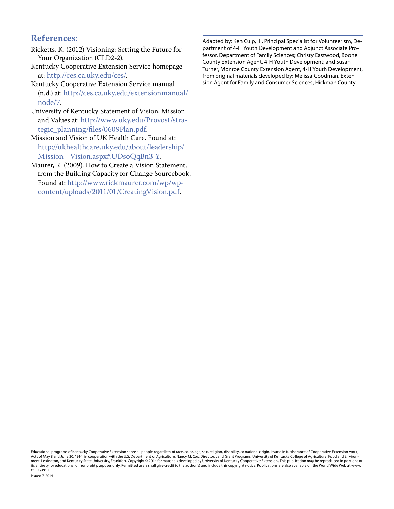#### **References:**

- Ricketts, K. (2012) Visioning: Setting the Future for Your Organization (CLD2-2).
- Kentucky Cooperative Extension Service homepage at: <http://ces.ca.uky.edu/ces/>.
- Kentucky Cooperative Extension Service manual (n.d.) at: [http://ces.ca.uky.edu/extensionmanual/](http://ces.ca.uky.edu/extensionmanual/node/7) [node/7](http://ces.ca.uky.edu/extensionmanual/node/7).
- University of Kentucky Statement of Vision, Mission and Values at: [http://www.uky.edu/Provost/stra](http://www.uky.edu/Provost/strategic_planning/files/0609Plan.pdf)[tegic\\_planning/files/0609Plan.pdf](http://www.uky.edu/Provost/strategic_planning/files/0609Plan.pdf).
- Mission and Vision of UK Health Care. Found at: http://ukhealthcare.uky.edu/about/leadership/ Mission—Vision.aspx#.UDsoQqBn3-Y.
- Maurer, R. (2009). How to Create a Vision Statement, from the Building Capacity for Change Sourcebook. Found at: [http://www.rickmaurer.com/wp/wp](http://www.rickmaurer.com/wp/wp-content/uploads/2011/01/CreatingVision.pdf)[content/uploads/2011/01/CreatingVision.pdf.](http://www.rickmaurer.com/wp/wp-content/uploads/2011/01/CreatingVision.pdf)

Adapted by: Ken Culp, III, Principal Specialist for Volunteerism, Department of 4-H Youth Development and Adjunct Associate Professor, Department of Family Sciences; Christy Eastwood, Boone County Extension Agent, 4-H Youth Development; and Susan Turner, Monroe County Extension Agent, 4-H Youth Development, from original materials developed by: Melissa Goodman, Extension Agent for Family and Consumer Sciences, Hickman County.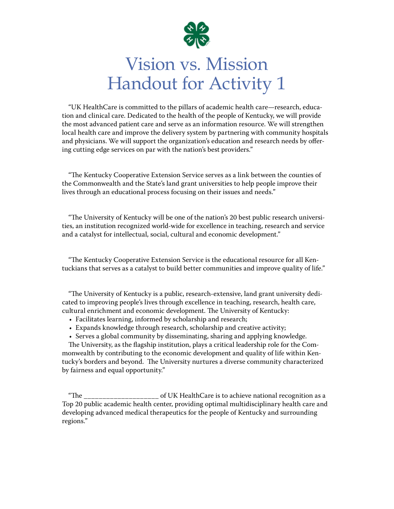

# Vision vs. Mission Handout for Activity 1

"UK HealthCare is committed to the pillars of academic health care—research, education and clinical care. Dedicated to the health of the people of Kentucky, we will provide the most advanced patient care and serve as an information resource. We will strengthen local health care and improve the delivery system by partnering with community hospitals and physicians. We will support the organization's education and research needs by offering cutting edge services on par with the nation's best providers."

"The Kentucky Cooperative Extension Service serves as a link between the counties of the Commonwealth and the State's land grant universities to help people improve their lives through an educational process focusing on their issues and needs."

"The University of Kentucky will be one of the nation's 20 best public research universities, an institution recognized world-wide for excellence in teaching, research and service and a catalyst for intellectual, social, cultural and economic development."

"The Kentucky Cooperative Extension Service is the educational resource for all Kentuckians that serves as a catalyst to build better communities and improve quality of life."

"The University of Kentucky is a public, research-extensive, land grant university dedicated to improving people's lives through excellence in teaching, research, health care, cultural enrichment and economic development. The University of Kentucky:

- Facilitates learning, informed by scholarship and research;
- Expands knowledge through research, scholarship and creative activity;
- Serves a global community by disseminating, sharing and applying knowledge.

The University, as the flagship institution, plays a critical leadership role for the Commonwealth by contributing to the economic development and quality of life within Kentucky's borders and beyond. The University nurtures a diverse community characterized by fairness and equal opportunity."

"The \_\_\_\_\_\_\_\_\_\_\_\_\_\_\_\_\_\_\_\_ of UK HealthCare is to achieve national recognition as a Top 20 public academic health center, providing optimal multidisciplinary health care and developing advanced medical therapeutics for the people of Kentucky and surrounding regions."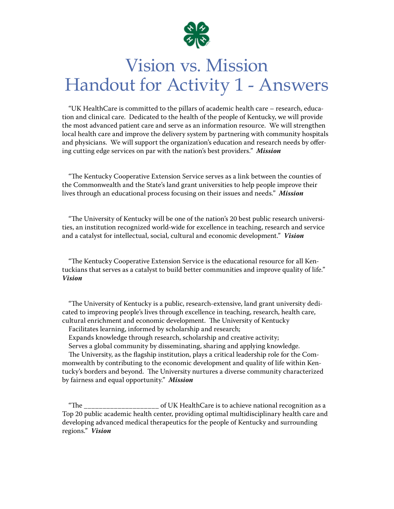

## Vision vs. Mission Handout for Activity 1 - Answers

"UK HealthCare is committed to the pillars of academic health care – research, education and clinical care. Dedicated to the health of the people of Kentucky, we will provide the most advanced patient care and serve as an information resource. We will strengthen local health care and improve the delivery system by partnering with community hospitals and physicians. We will support the organization's education and research needs by offering cutting edge services on par with the nation's best providers." *Mission*

"The Kentucky Cooperative Extension Service serves as a link between the counties of the Commonwealth and the State's land grant universities to help people improve their lives through an educational process focusing on their issues and needs." *Mission*

"The University of Kentucky will be one of the nation's 20 best public research universities, an institution recognized world-wide for excellence in teaching, research and service and a catalyst for intellectual, social, cultural and economic development." *Vision*

"The Kentucky Cooperative Extension Service is the educational resource for all Kentuckians that serves as a catalyst to build better communities and improve quality of life." *Vision*

"The University of Kentucky is a public, research-extensive, land grant university dedicated to improving people's lives through excellence in teaching, research, health care, cultural enrichment and economic development. The University of Kentucky

Facilitates learning, informed by scholarship and research;

Expands knowledge through research, scholarship and creative activity;

Serves a global community by disseminating, sharing and applying knowledge.

The University, as the flagship institution, plays a critical leadership role for the Commonwealth by contributing to the economic development and quality of life within Kentucky's borders and beyond. The University nurtures a diverse community characterized by fairness and equal opportunity." *Mission*

"The \_\_\_\_\_\_\_\_\_\_\_\_\_\_\_\_\_\_\_\_ of UK HealthCare is to achieve national recognition as a Top 20 public academic health center, providing optimal multidisciplinary health care and developing advanced medical therapeutics for the people of Kentucky and surrounding regions." *Vision*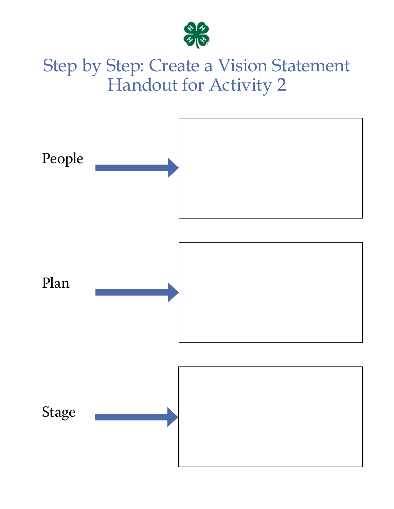

# Step by Step: Create a Vision Statement Handout for Activity 2